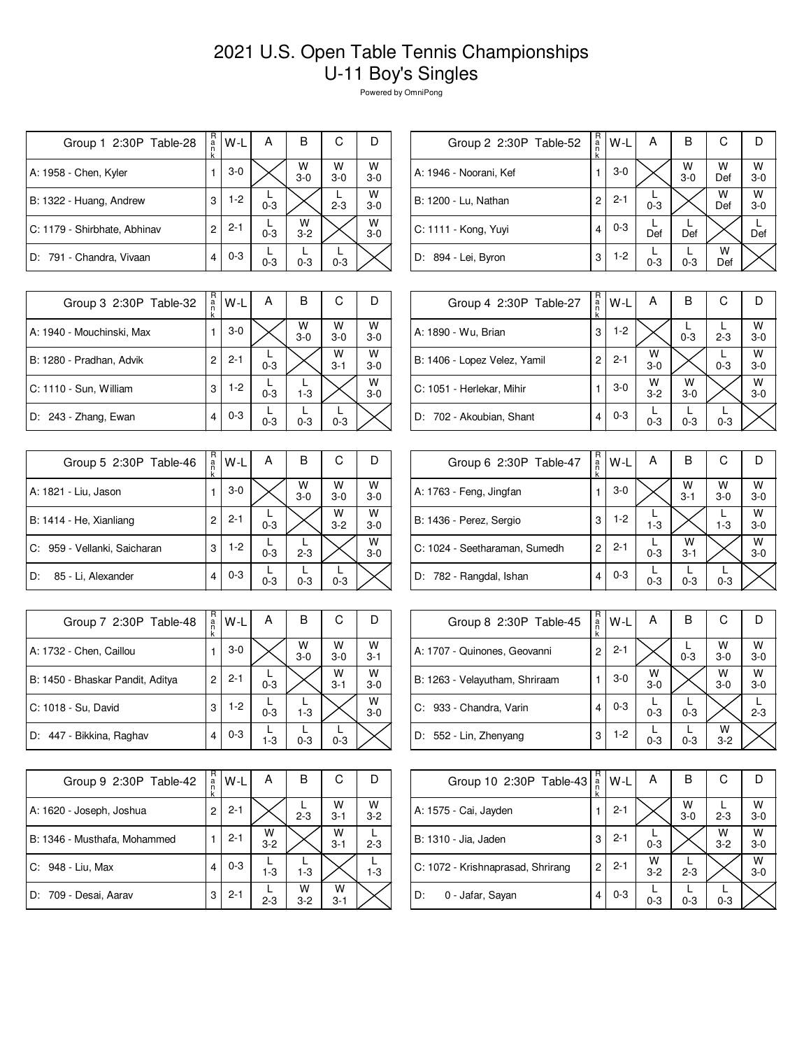## 2021 U.S. Open Table Tennis Championships U-11 Boy's Singles

Powered by OmniPong

| Group 1 2:30P Table-28       | R<br>a<br>n<br>k | W-L     | А       | B            | С          | D          |
|------------------------------|------------------|---------|---------|--------------|------------|------------|
| A: 1958 - Chen, Kyler        |                  | $3-0$   |         | W<br>$3-0$   | W<br>$3-0$ | W<br>$3-0$ |
| B: 1322 - Huang, Andrew      | 3                | $1-2$   | $0 - 3$ |              | $2 - 3$    | W<br>$3-0$ |
| C: 1179 - Shirbhate, Abhinav | 2                | $2 - 1$ | $0 - 3$ | W<br>$3 - 2$ |            | w<br>$3-0$ |
| D: 791 - Chandra, Vivaan     | 4                | $0 - 3$ | $0 - 3$ | $0 - 3$      | $0 - 3$    |            |

| R<br>С<br>В<br>W-L<br>А<br>Group 2 2:30P Table-52<br>ă<br>k<br>W<br>W<br>$W$ <sub>3-0</sub><br>$3-0$<br>1<br>$3 - 0$<br>Def<br>W<br>W<br>$2 - 1$<br>2<br>$3 - 0$<br>$0 - 3$<br>Def<br>$0 - 3$<br>4<br>Def<br>Def<br>Def<br>W<br>$1-2$<br>3<br>$0 - 3$<br>$0 - 3$<br>Def |                        |  |  |  |
|-------------------------------------------------------------------------------------------------------------------------------------------------------------------------------------------------------------------------------------------------------------------------|------------------------|--|--|--|
|                                                                                                                                                                                                                                                                         |                        |  |  |  |
|                                                                                                                                                                                                                                                                         | A: 1946 - Noorani, Kef |  |  |  |
|                                                                                                                                                                                                                                                                         | B: 1200 - Lu, Nathan   |  |  |  |
|                                                                                                                                                                                                                                                                         | C: 1111 - Kong, Yuyi   |  |  |  |
|                                                                                                                                                                                                                                                                         | D: 894 - Lei, Byron    |  |  |  |

| Group 3 2:30P Table-32    | R<br>a<br>k | W-L     | А       | в          | С            |              |
|---------------------------|-------------|---------|---------|------------|--------------|--------------|
| A: 1940 - Mouchinski, Max |             | $3-0$   |         | W<br>$3-0$ | W<br>$3-0$   | W<br>$3-0$   |
| B: 1280 - Pradhan, Advik  | 2           | $2 - 1$ | $0 - 3$ |            | W<br>$3 - 1$ | W<br>$3-0$   |
| C: 1110 - Sun, William    | 3           | $1-2$   | $0 - 3$ | $1 - 3$    |              | W<br>$3 - 0$ |
| D: 243 - Zhang, Ewan      |             | $0 - 3$ | $0 - 3$ | $0 - 3$    | $0 - 3$      |              |

| Group 5 2:30P Table-46       | R<br>a<br>k    | W-L     | А       | В          | С            |              |
|------------------------------|----------------|---------|---------|------------|--------------|--------------|
| A: 1821 - Liu, Jason         |                | $3-0$   |         | W<br>$3-0$ | W<br>$3-0$   | W<br>$3 - 0$ |
| B: 1414 - He, Xianliang      | $\overline{c}$ | $2 - 1$ | $0 - 3$ |            | W<br>$3 - 2$ | W<br>$3 - 0$ |
| C: 959 - Vellanki, Saicharan | 3              | $1-2$   | $0 - 3$ | $2 - 3$    |              | W<br>$3-0$   |
| 85 - Li, Alexander<br>D:     | 4              | $0 - 3$ | $0 - 3$ | $0 - 3$    | $0 - 3$      |              |

| Group 7 2:30P Table-48           | R<br>$\frac{a}{n}$<br>k | W-L     | А       | в          | С            |              |
|----------------------------------|-------------------------|---------|---------|------------|--------------|--------------|
| A: 1732 - Chen, Caillou          |                         | $3-0$   |         | W<br>$3-0$ | W<br>$3-0$   | W<br>$3 - 1$ |
| B: 1450 - Bhaskar Pandit, Aditya | 2                       | $2 - 1$ | $0 - 3$ |            | W<br>$3 - 1$ | w<br>$3-0$   |
| C: 1018 - Su, David              | 3                       | 1-2     | $0 - 3$ | $1 - 3$    |              | W<br>$3 - 0$ |
| D: 447 - Bikkina, Raghav         | 4                       | $0 - 3$ | $1 - 3$ | $0 - 3$    | $0 - 3$      |              |

| Group 9 2:30P Table-42       | R<br>a<br>n<br>k | W-L     | А            | в          | С            |            |
|------------------------------|------------------|---------|--------------|------------|--------------|------------|
| A: 1620 - Joseph, Joshua     | 2                | $2 - 1$ |              | $2 - 3$    | w<br>$3 - 1$ | W<br>$3-2$ |
| B: 1346 - Musthafa, Mohammed |                  | $2 - 1$ | W<br>$3 - 2$ |            | W<br>$3 - 1$ | $2 - 3$    |
| C: 948 - Liu, Max            |                  | $0 - 3$ | $1-3$        | $1 - 3$    |              | 1-3        |
| D: 709 - Desai, Aarav        | 3                | $2 - 1$ | $2 - 3$      | W<br>$3-2$ | w<br>$3 - 1$ |            |

| Group 4 2:30P Table-27       | R<br>a<br>k | $W-L$   | А          | В          | С       |              |
|------------------------------|-------------|---------|------------|------------|---------|--------------|
| A: 1890 - Wu, Brian          | 3           | $1-2$   |            | $0 - 3$    | $2 - 3$ | W<br>$3 - 0$ |
| B: 1406 - Lopez Velez, Yamil | 2           | $2 - 1$ | W<br>$3-0$ |            | $0 - 3$ | W<br>$3 - 0$ |
| C: 1051 - Herlekar, Mihir    |             | $3-0$   | W<br>$3-2$ | w<br>$3-0$ |         | W<br>$3 - 0$ |
| D: 702 - Akoubian, Shant     | 4           | $0 - 3$ | $0 - 3$    | $0 - 3$    | $0 - 3$ |              |

| Group 6 2:30P Table-47        | R<br>a | W-L     | A       | B            | С          |            |
|-------------------------------|--------|---------|---------|--------------|------------|------------|
| A: 1763 - Feng, Jingfan       |        | $3-0$   |         | W<br>$3 - 1$ | W<br>$3-0$ | W<br>$3-0$ |
| B: 1436 - Perez, Sergio       | 3      | $1-2$   | $1 - 3$ |              | $1 - 3$    | w<br>$3-0$ |
| C: 1024 - Seetharaman, Sumedh | 2      | $2 - 1$ | $0 - 3$ | W<br>$3 - 1$ |            | W<br>$3-0$ |
| D: 782 - Rangdal, Ishan       | 4      | $0 - 3$ | $0 - 3$ | $0 - 3$      | $0 - 3$    |            |

| Group 8 2:30P Table-45         | R<br>a | $W-L$   | А          | в       | С            |              |
|--------------------------------|--------|---------|------------|---------|--------------|--------------|
| A: 1707 - Quinones, Geovanni   | 2      | $2 - 1$ |            | $0 - 3$ | W<br>$3 - 0$ | W<br>$3 - 0$ |
| B: 1263 - Velayutham, Shriraam |        | $3-0$   | W<br>$3-0$ |         | W<br>$3-0$   | W<br>$3-0$   |
| C: 933 - Chandra, Varin        | 4      | $0 - 3$ | $0 - 3$    | $0 - 3$ |              | $2 - 3$      |
| D: 552 - Lin, Zhenyang         | 3      | $1-2$   | $0 - 3$    | $0 - 3$ | W<br>$3 - 2$ |              |

| Group 10 2:30P Table-43           | R<br>a | W-L     | А            | В            | С            |              |
|-----------------------------------|--------|---------|--------------|--------------|--------------|--------------|
| A: 1575 - Cai, Jayden             |        | $2 - 1$ |              | w<br>$3 - 0$ | $2 - 3$      | W<br>$3-0$   |
| B: 1310 - Jia, Jaden              | 3      | $2 - 1$ | $0 - 3$      |              | W<br>$3 - 2$ | W<br>$3 - 0$ |
| C: 1072 - Krishnaprasad, Shrirang | 2      | $2 - 1$ | W<br>$3 - 2$ | $2 - 3$      |              | W<br>$3-0$   |
| D:<br>0 - Jafar, Sayan            | 4      | $0 - 3$ | $0 - 3$      | $0 - 3$      | $0 - 3$      |              |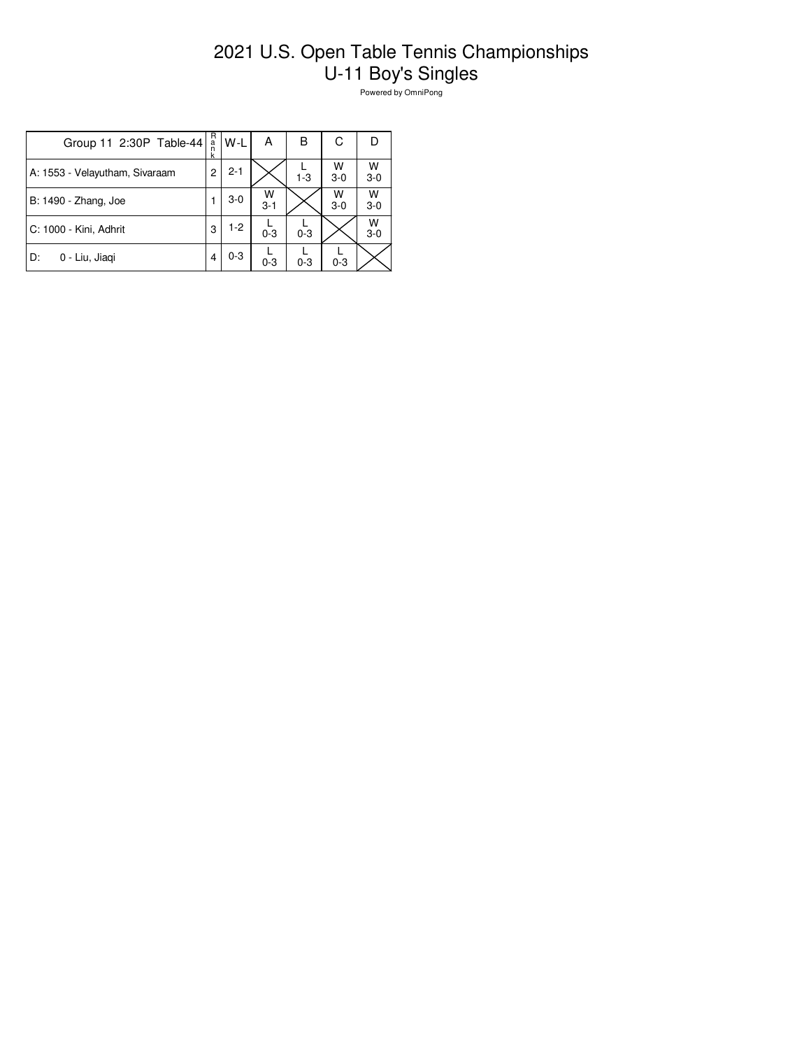## 2021 U.S. Open Table Tennis Championships U-11 Boy's Singles

Powered by OmniPong

| Group 11 2:30P Table-44        | R<br>a<br>n<br>k | W-L     | А            | B       | С            |              |
|--------------------------------|------------------|---------|--------------|---------|--------------|--------------|
| A: 1553 - Velayutham, Sivaraam | 2                | $2 - 1$ |              | $1 - 3$ | w<br>$3 - 0$ | W<br>$3 - 0$ |
| B: 1490 - Zhang, Joe           |                  | $3-0$   | W<br>$3 - 1$ |         | W<br>$3-0$   | W<br>$3-0$   |
| C: 1000 - Kini, Adhrit         | 3                | $1 - 2$ | $0 - 3$      | $0 - 3$ |              | W<br>$3-0$   |
| D:<br>0 - Liu, Jiagi           |                  | $0 - 3$ | $0 - 3$      | $0 - 3$ | $0 - 3$      |              |